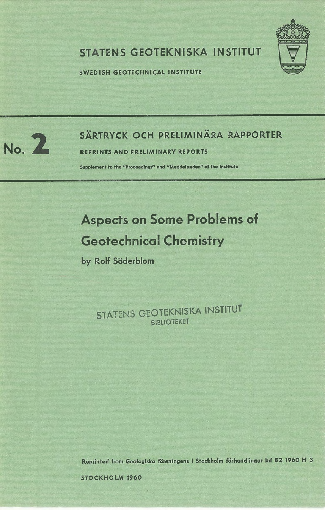

## STATENS GEOTEKNISKA INSTITUT

SWEDISH GEOTECHNICAL INSTITUTE



# SÄRTRYCK OCH PRELIMINÄRA RAPPORTER<br>No. 2 REPRINTS AND PRELIMINARY REPORTS

**REPRINTS AND PRELIMINARY REPORTS** 

Supplement to the "Proceedings" and "Meddelanden" of the Institute

## Aspects on Some Problems of Geotechnical Chemistry

by Rolf Söderblom

STATENS GEOTEKNISKA INSTITUT **BIBLIOTEKET** 

Reprinted from Geologisko foreningens i Stockholm forhandlingar **bd 82 1960** H 3

STOCKHOLM 1960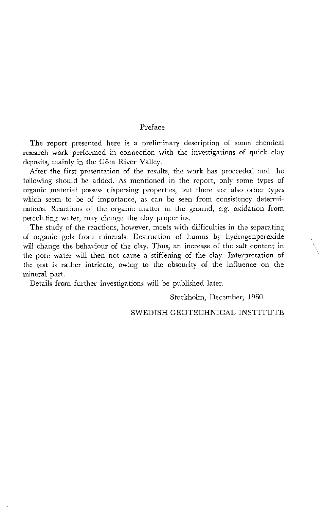### Preface

The report presented here is a preliminary description of some chemical research work performed in connection with the investigations of quick clay deposits, mainly in the Göta River Valley.

After the first presentation of the results, the work has proceeded and the following should be added. As mentioned in the report, only some types of organic material possess dispersing properties, but there are also other types which seem to be of importance, as can be seen from consistency determinations. Reactions of the organic matter in the ground, e.g. oxidation from percolating water, may change the clay properties.

The study of the reactions, however, meets with difficulties in the separating of organic gels from minerals. Destruction of humus by hydrogenperoxide will change the behaviour of the clay. Thus, an increase of the salt content in the pore water will then not cause a stiffening of the clay. Interpretation of the test is rather intricate, owing to the obscurity of the influence on the mineral part.

Details from further investigations will be published later.

Stockholm, December, 1960.

### SWEDISH GEOTECHNICAL INSTITUTE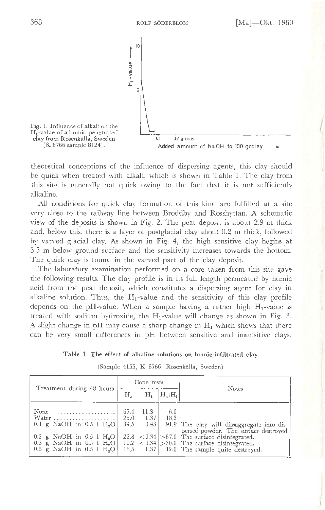

theoretical conceptions of the influence of dispersing agents, this clay should J be quick when treated with alkali, which is shown in Table 1. The clay from this site is generally not quick owing to the fact that it is not sufficiently alkaline.

All conditions for quick clay formation of this kind are fulfilled at a site very close to the railway line between Broddby and Rosshyttan. A schematic view of the deposits is shown in Fig. 2. The peat deposit is about 2.9 m thick and, below this, there is a layer of postglacial clay about 0.2 m thick, followed by varved glacial clay. As shown in Fig. 4, the high sensitive clay begins \_at 3.5 m below ground surface and the sensitivity increases towards the bottom. The quick clay is found in the varved part of the clay deposit.

The laboratory examination performed on a core taken from this site gave the following results. The clay profile is in its full length permeated by humic 2.cid from the peat deposit, which constitutes a dispersing agent for clay in alkaline solution. Thus, the  $H_1$ -value and the sensitivity of this clay profile depends on the pH-value. When a sample having a rather high  $H_1$ -value is treated with sodium hydroxide, the  $H_1$ -value will change as shown in Fig. 3. A slight change in pH may cause a sharp change in  $H_1$  which shows that there can be very small differences in pH between sensitive and insensitive clays.

|  |  |  |  |  |  |  |  | Table 1. The effect of alkaline solutions on humic-infiltrated clay |  |
|--|--|--|--|--|--|--|--|---------------------------------------------------------------------|--|
|--|--|--|--|--|--|--|--|---------------------------------------------------------------------|--|

|                                                                                                                                                                                              | Cone tests                                   |                                           |             |                                                                                                                                                                                                                        |
|----------------------------------------------------------------------------------------------------------------------------------------------------------------------------------------------|----------------------------------------------|-------------------------------------------|-------------|------------------------------------------------------------------------------------------------------------------------------------------------------------------------------------------------------------------------|
| Treatment during 48 hours                                                                                                                                                                    | Н,                                           | Н,                                        | $H_3/H_1$   | <b>Notes</b>                                                                                                                                                                                                           |
| None<br>Water<br>$0.1 \text{ g}$ NaOH in 0.5 1 H <sub>2</sub> O<br>$0.2$ g NaOH in $0.5$ l H <sub>2</sub> O<br>0.3 g NaOH in 0.5 l $H2O$<br>$0.5 \text{ g}$ NaOH in $0.5$ 1 H <sub>4</sub> O | 67.4<br>25.0<br>39.5<br>22.8<br>10.2<br>16.5 | 11.3<br>1.37<br>0.43<br>1.37 <sup>1</sup> | 6.0<br>18.3 | 91.9 The clay will dissaggregate into dis-<br>persed powder. The surface destroyed<br>$ <0.34 $ > 67.0   The surface disintegrated.<br>$ <0.34 $ > 30.0 The surface disintegrated.<br>12.0 The sample quite destroyed. |

(Sample 4155, K 6766, Rosenkalla, Sweden)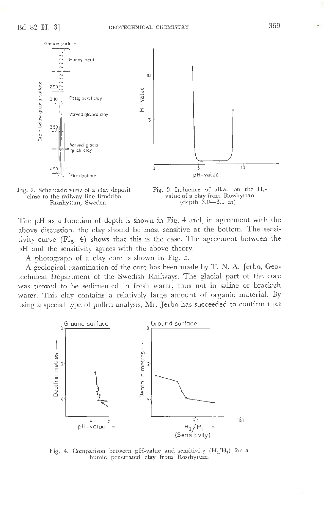



The pH as a function of depth is shown in Fig. **4** and, in agreement with the above discussion, the clay should be most sensitive at the bottom. The sensitivity curve (Fig. 4) shows that this is the case. The agreement between the pH and the sensitivity agrees with the above theory.

A photograph of a clay core is shown in Fig. 5.

**A** geological examination of the core has been made by **T.** N. A. Jerbo, Geotechnical Department of the Swedish Railways. The glacial part of the core was proved to be sedimented in fresh water, thus not in saline or brackish water. This clay contains a relatively large amount of organic material. By using a special type of pollen analysis, Mr. Jerbo has succeeded to confirm that



Fig. 4. Comparison between pH-value and sensitivity  $(H_3/H_1)$  for a humic penetrated clay from Rosshyttan.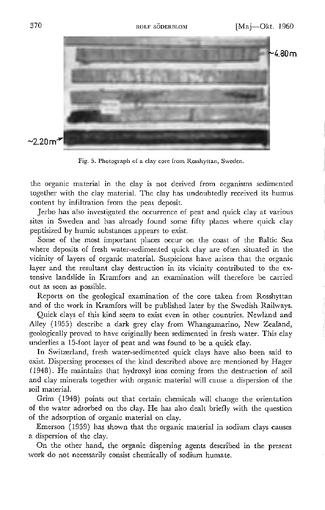

Fig. 5. Photograph of a clay core from Rosshyttan, Sweden.

the organic material in the clay is not derived from organisms sedimented together with the clay material. The clay has undoubtedly received its humus content by infiltration from the peat deposit.

Jerbo has also investigated the occurrence of peat and quick clay at various sites in Sweden and has already found some fifty places where quick clay peptisized by humic substances appears to exist.

Some of the most important places occur on the coast of the Baltic Sea where deposits of fresh water-sedimented quick clay are often situated in the vicinity of layers of organic material. Suspicions have arisen that the organic layer and the resultant clay destruction in its vicinity contributed to the extensive landslide in Kramfors and an examination will therefore be carried out as soon as possible.

Reports on the geological examination of the core taken from Rosshyttan and of the work in Kramfors will be published later by the Swedish Railways.

Quick clays of this kind seem to exist even in other countries. Newland and Alley ( 1955) describe a dark grey clay from Whangamarino, New Zealand, geologically proved to have originally been sedimented in fresh water. This clay underlies a 15-foot layer of peat and was found to be a quick clay.

In Switzerland, fresh water-sedimented quick clays have also been said to exist. Dispersing processes of the kind described above are mentioned by Hager *(*1948). He maintains that hydroxyl ions coming from the destruction of soil and clay minerals together with organic material will cause a dispersion of the soil material.

Grim (1948) points out that certain chemicals will change the orientation of the water adsorbed on the clay. He has also dealt briefly with the question of the adsorption of organic material on clay.

Emerson ( 1959) has shown that the organic material in sodium clays causes a dispersion of the clay.

On the other hand, the organic dispersing agents described in the present work do not necessarily consist chemically of sodium humate.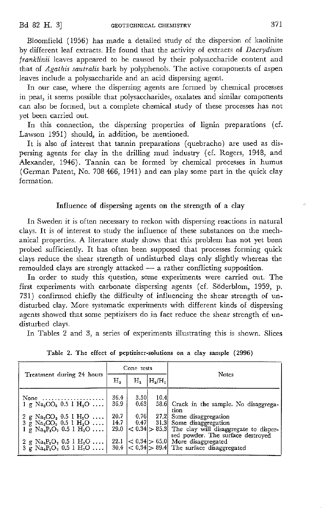Bloomfield ( 1956) has made a detailed study of the dispersion of kaolinite by different leaf extracts. He found that the activity of extracts of *Dacrydium franklinii* leaves appeared to be caused by their polysaccharide content and that of *Agathis sautralis* bark by polyphenols. The active components of aspen leaves include a polysaccharide and an acid dispersing agent.

In our case, where the dispersing agents are formed by chemical processes in peat, it seems possible that polysaccharides, oxalates and similar components can also be formed, but a complete chemical study of these processes has not yet been carried out.

In this connection, the dispersing properties of lignin preparations (cf. Lawson 1951) should, in addition, be mentioned.

It is also of interest that tannin preparations ( quebracho) are used as dispersing agents for clay in the drilling mud industry ( cf. Rogers, 1948, and Alexander, 1946). Tannin can be formed by chemical processes in humus (German Patent, No. 708 466, 1941) and can play some part in the quick clay formation.

#### Influence of dispersing agents on the strength of a clay

In Sweden it is often necessary to reckon with dispersing reactions in natural clays. It is of interest to study the influence of these substances on the mechanical properties. A literature study shows that this problem has not yet been probed sufficiently. It has often been supposed that processes forming quick clays reduce the shear strength of undisturbed clays only slightly whereas the remoulded clays are strongly attacked  $-$  a rather conflicting supposition.

In order to study this question, some experiments were carried out. The first experiments with carbonate dispersing agents (cf. Söderblom, 1959, p. 731) confirmed chiefly the difficulty of influencing the shear strength of undisturbed clay. More systematic experiments with different kinds of dispersing agents showed that some peptizisers do in fact reduce the shear strength of undisturbed clays.

In Tables 2 and 3, a series of experiments illustrating this is shown. Slices

|                                                                                                                                                                                                                                                                                           |                                      | Cone rests                   |           |                                                                                                                                                                     |  |  |
|-------------------------------------------------------------------------------------------------------------------------------------------------------------------------------------------------------------------------------------------------------------------------------------------|--------------------------------------|------------------------------|-----------|---------------------------------------------------------------------------------------------------------------------------------------------------------------------|--|--|
| Treatment during 24 hours                                                                                                                                                                                                                                                                 | Η,                                   | $\rm{H}_{\rm{1}}$            | $H_1/H_1$ | <b>Notes</b>                                                                                                                                                        |  |  |
| None $\ldots \ldots \ldots \ldots \ldots \ldots$<br>1 g Na <sub>2</sub> CO <sub>2</sub> 0.5 l H <sub>2</sub> O<br>2 g Na <sub>2</sub> CO <sub>3</sub> 0.5 l H <sub>2</sub> O<br>$3 \times \text{Na}_2\text{CO}_3$ 0.5 1 H <sub>2</sub> O<br>$1 \times N a_4 P_2 O_7$ 0.5 $1 H_2 O \ldots$ | 36.4<br>36.9<br>20.7<br>14.7<br>29.0 | 3.50<br>0.63<br>0.76<br>0.47 | 10.4      | 58.6 Crack in the sample. No disaggrega-<br>tion<br>27.2 Some disaggregation<br>31.3 Some disaggregation<br>$<$ 0.34 $>$ 85.3 The clay will disaggregate to disper- |  |  |
| 2 g $\text{Na}_4\text{P}_2\text{O}_7$ 0.5 1 $\text{H}_2\text{O}$<br>$3 \text{ g} \text{ Na}_4\text{P}_2\text{O}_7$ 0.5 1 $\text{H}_2\text{O}$                                                                                                                                             | 22.1                                 |                              |           | sed powder. The surface destroyed<br>$ < 0.34$ > 65.0 More disaggregated<br>$30.4$ < 0.34 > 89.4 The surface disaggregated                                          |  |  |

Table 2. The effect of peptiziser-solutions on a day sample (2996)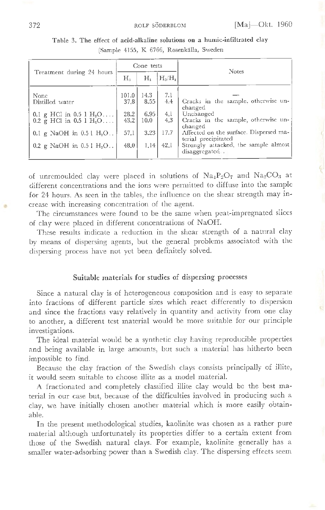|                                                                                                                                         |               | Cone tests   |            | <b>Notes</b>                                                           |  |  |
|-----------------------------------------------------------------------------------------------------------------------------------------|---------------|--------------|------------|------------------------------------------------------------------------|--|--|
| Treatment during 24 hours                                                                                                               | Н,            | Н,           | $H_3/H_1$  |                                                                        |  |  |
| None<br>Distilled water                                                                                                                 | 101.0<br>37.8 | 14.3<br>8.55 | 7.1<br>4.4 | Cracks in the sample, otherwise un-                                    |  |  |
| 0.1 g HCl in $0.5 \, 1 \, \text{H}_2\text{O} \dots$<br>$0.2 \, \text{g}$ HCl in $0.5 \, \text{l} \, \text{H}_2^{\circ} \text{O} \ldots$ | 28.2<br>43.2  | 6.95<br>10.0 | 4.1<br>4.3 | changed<br>Unchanged<br>Cracks in the sample, otherwise un-<br>changed |  |  |
| 0.1 g NaOH in $0.51$ H <sub>2</sub> O                                                                                                   | 57.1          | 3.23         | 17.7       | Affected on the surface. Dispersed ma-<br>terial precipitated          |  |  |
| 0.2 g NaOH in $0.51$ H <sub>2</sub> O.                                                                                                  | 48.0          | 1.14         | 42.1       | Strongly attacked, the sample almost<br>disaggregated                  |  |  |

Table 3. The effect of acid-alkaline solutions on a humic-infiltrated clay (Sample 4155, K 6766, Rosenkalla, Sweden

of unremoulded clay were placed in solutions of  $Na_4P_2O_7$  and  $Na_2CO_3$  at different concentrations and the ions were permitted to diffuse into the sample for 24 hours. As seen in the tables, the influence on the shear strength may in- • crease with increasing concentration of the agent.

The circumstances were found to be the same when peat-impregnated slices of clay were placed in different concentrations of NaOH.

These results indicate a reduction in the shear strength of a natural clay by means of dispersing agents, but the general problems associated with the dispersing process have not yet been definitely solved.

#### **Suitable** materials for studies of dispersing processes

Since a natural clay is of heterogeneous composition and is easy to separate into fractions of different particle sizes which react differently to dispersion and since the fractions vary relatively in quantity and activity from one clay to another, a different test material would be more suitable for our principle investigations.

The ideal material would be a synthetic clay having reproducible properties and being available in large amounts, but such a material has hitherto been impossible to find.

Because the clay fraction of the Swedish clays consists principally of illite, it would seem suitable to choose illite as a model material.

A fractionated and completely classified illite clay would be the best material in our case but, because of the difficulties involved in producing such a clay, we have initially chosen another material which is more easily obtainable.

In the present methodological studies, kaolinite was chosen as a rather pure material although unfortunately its properties differ to a certain extent from those of the Swedish natural clays. For example, kaolinite generally has a smaller water-adsorbing power than a Swedish clay. The dispersing effects seem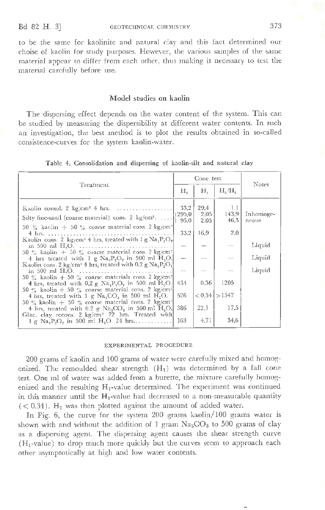to be the same for kaolinite and natural clay and this fact determined our choise of kaolin for study purposes. However, the various samples of the same material appear to differ from each other, thus making it necessary to test the material carefully before use.

#### M odel studies on kaolin

The dispersing effect depends on the water content of the system. This can be studied by measuring the dispersibility at different water contents. In such an investigation, the best method is to plot the results obtained in so-called consistence-curves for the system kaolin-water.

|  | Table 4. Consolidation and dispersing of kaolin-silt and natural clay |  |  |  |  |  |  |  |
|--|-----------------------------------------------------------------------|--|--|--|--|--|--|--|
|--|-----------------------------------------------------------------------|--|--|--|--|--|--|--|

|                                                                                                                                                               |                        | Conc test            | <b>Notes</b>         |                    |
|---------------------------------------------------------------------------------------------------------------------------------------------------------------|------------------------|----------------------|----------------------|--------------------|
| Treatment                                                                                                                                                     | Н.                     | Н,                   | $H_4/H_1$            |                    |
| Kaolin consol, $2 \text{ kg/cm}^2$ 4 hrs.<br>Silty fine-sand (coarse material) cons. 2 kg/cm <sup>2</sup> .                                                   | 33.2<br>1295.0<br>95,0 | 29.4<br>2.05<br>2.05 | 1,1<br>143.9<br>46.3 | Inhomoge-<br>ncous |
| 50 % kaolin $\pm$ 50 % coarse material cons. 2 kg/cm <sup>2</sup>                                                                                             | 33.2                   | 16.9                 | 2.0                  |                    |
| Kaolin cons. 2 kg/cm <sup>-</sup> 4 hrs, treated with 1 g $\text{Na}_4\text{P}_4\text{O}_7$                                                                   |                        |                      |                      | Liquid             |
| 50 % kaolin + 50 % coarse material cons. 2 kg/cm <sup>2</sup><br>4 hrs treated with 1 g $\text{Na}_4\text{P}_2\text{O}_7$ in 500 ml $\text{H}_2\text{O}$ .    |                        |                      |                      | Liquid             |
| Kaolin cons. 2 kg/cm <sup>2</sup> 4 hrs, treated with 0.2 g $\text{Na}_4\text{P}_2\text{O}$ .                                                                 |                        |                      |                      | Liquid             |
| 50 % kaolin + 50 % coarse materials cons. 2 kg/cm <sup>2</sup><br>4 hrs, treated with 0,2 g $\text{Na}_4\text{P}_3\text{O}_7$ in 500 ml H <sub>2</sub> O.     | 434                    | 0.36                 | 1205                 |                    |
| 50 % kaolin + 50 % coarse material cons. 2 kg/cm <sup>2</sup><br>4 hrs, treated with 1 g $NaaCOa$ in 500 ml H <sub>a</sub> O.                                 | 526                    |                      | $< 0.34$   $> 1547$  |                    |
| 50 % kaolin $\div$ 50 % coarse material cons. 2 kg/cm <sup>2</sup><br>4 hrs, treated with 0.2 g $\text{Na}_2\text{CO}_3$ in 500 ml $\text{H}_2\text{O}$ .     | 386                    | 22.1                 | 17.5                 |                    |
| Glac. clay recons. 2 kg/cm <sup>2</sup> 72 hrs. Treated with<br>$1 \text{ g}$ Na <sub>s</sub> P <sub>2</sub> O <sub>2</sub> in 500 ml H <sub>2</sub> O 24 hrs | 163                    | 4.71                 | 34.6                 |                    |

#### EXPERIMENTAL PROCEDURE

200 grams of kaolin and 100 grams of water were carefully mixed and homogenized. The remoulded shear strength  $(H_1)$  was determined by a fall cone test. One ml of water was added from a burette, the mixture carefully homogenized and the resulting  $H_1$ -value determined. The experiment was continued in this manner until the  $H_1$ -value had decreased to a non-measurable quantity  $(< 0.34$ ). H<sub>1</sub> was then plotted against the amount of added water.

In Fig. 6, the curve for the system 200 grams kaolin/ 100 grams water is shown with and without the addition of 1 gram  $Na<sub>2</sub>CO<sub>3</sub>$  to 500 grams of clay as a dispersing agent. The dispersing agent causes the shear strength curve  $(H_1$ -value) to drop much more quickly but the curves seem to approach each other asymptotically at high and low water contents.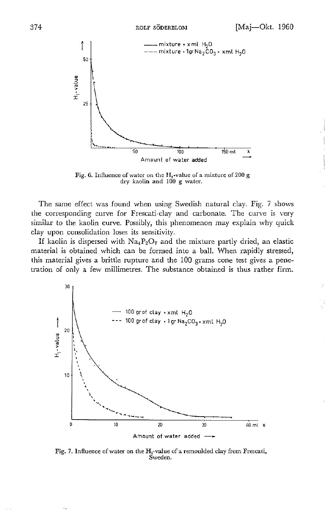

Fig. 6. Influence of water on the H,-value of a mixture of 200 g dry kaolin and 100 g water.

The same effect was found when using Swedish natural clay. Fig. 7 shows the corresponding curve for Frescati-clay and carbonate. The curve is very similar to the kaolin curve. Possibly, this phenomenon may explain why quick clay upon consolidation loses its sensitivity.

If kaolin is dispersed with  $\text{Na}_4\text{P}_2\text{O}_7$  and the mixture partly dried, an elastic material is obtained which can be formed into a ball. When rapidly stressed, this material gives a brittle rupture and the 100 grams cone test gives a penetration of only a few millimetres. The substance obtained is thus rather firm.



Fig. 7. Influence of water on the  $H_1$ -value of a remoulded clay from Frescati, Sweden.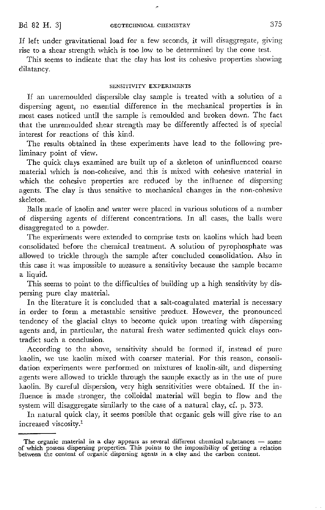If left under gravitational load for a few seconds, it will disaggregate, giving rise to a shear strength which is too low to be determined by the cone test.

This seems to indicate that the clay has lost its cohesive properties showing dilatancy.

#### SENSITIVITY EXPERIMENTS

If an unremoulded dispersible clay sample is treated with a solution of a dispersing agent, no essential difference in the mechanical properties is in most cases noticed until the sample is remoulded and broken down. The fact that the unremouldecl shear strength may be differently affected is of special interest for reactions of this kind.

The results obtained in these experiments have lead to the following preliminary point of view.

The quick clays examined are built up of a skeleton of uninfluenced coarse material which is non-cohesive, and this is mixed with cohesive material in which the cohesive properties are reduced by the influence of dispersing agents. The clay is thus sensitive to mechanical changes in the non-cohesive skeleton.

Balls made of kaolin and water were placed in various solutions of a number of dispersing agents of different concentrations. In all cases, the balls \Vere disaggregated to a powder.

The experiments were extended to comprise tests on kaolins which had been consolidated before the chemical treatment. A solution of pyrophosphate was allowed to trickle through the sample after concluded consolidation. Also in this case it was impossible to measure a sensitivity because the sample became a liquid.

This seems to point to the difficulties of building up a high sensitivity by dispersing pure clay material.

In the literature it is concluded that a salt-coagulated material is necessary in order to form a metastable sensitive product. However, the pronounced tendency of the glacial clays to become quick upon treating with dispersing agents and, in particular, the natural fresh water sedimented quick clays contradict such a conclusion.

According to the above, sensitivity should be formed if, instead of pure kaolin, we use kaolin mixed with coarser material. For this reason, consolidation experiments were performed on mixtures of kaolin-silt, and dispersing agents were allowed to trickle through the sample exactly as in the use of pure kaolin. By careful dispersion, very high sensitivities were obtained. If the influence is made stronger, the colloidal material will begin to flow and the system will disaggregate similarly to the case of a natural clay, cf. p. 373.

In natural quick clay, it seems possible that organic gels will give rise to an increased viscosity.1

The organic material in a clay appears as several different chemical substances  $-$  some of which possess dispersing properties. This points to the impossibility of getting a relation between the content of organic dispersing agents in a clay and the carbon content.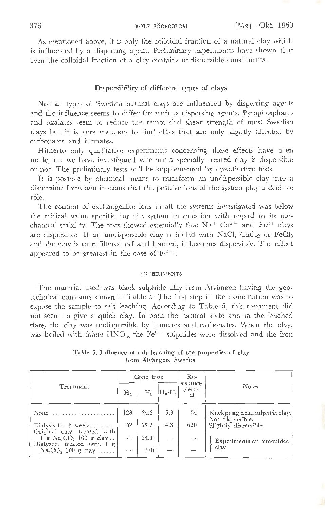As mentioned above, it is only the colloidal fraction of a natural clay which is influenced by a dispersing agent. Preliminary experiments have shown that even the colloidal fraction of a clay contains undispersible constituents.

#### **Dispersibility of different types of clays**

Not all types of Swedish natural clays are influenced by dispersing agents and the influence seems to differ for various dispersing agents. Pyrophosphates and oxalates seem to reduce the remoulded shear strength of most Swedish clays but it is very common to find clays that are only slightly affected by carbonates and humates.

Hitherto only qualitative experiments concerning these effects have been made, i.e. we have investigated whether a specially treated clay is dispersible or not. The preliminary tests will be supplemented by quantitative tests.

It is possible by chemical means to transform an undispersible clay into a dispersible form and it seems that the positive ions of the system play a decisive rôle.

The content of exchangeable ions in all the systems investigated was below the critical value specific for the system in question with regard to its mechanical stability. The tests showed essentially that  $Na^+ Ca^{2+}$  and  $Fe^{3+}$  clays are dispersible. If an undispersible clay is boiled with NaCl,  $CaCl<sub>2</sub>$  or  $FeCl<sub>3</sub>$ and the clay is then filtered off and leached, it becomes dispersible. The effect appeared to be greatest in the case of  $Fe<sup>3+</sup>$ .

#### EXPERIMENTS

The material used was black sulphide clay from Alvängen having the geotechnical constants shown in Table 5. The first step in the examination was to expose the sample to salt leaching. According to Table 5, this treatment did not seem to give a quick clay. In both the natural state and in the leached state, the clay was undispersible by humates and carbonates. When the clay, was boiled with dilute  $HNO<sub>3</sub>$ , the  $Fe<sup>2+</sup>$  sulphides were dissolved and the iron

|                                                                                   | Cone tests     |      |                   | $Re-$                     |                                                      |
|-----------------------------------------------------------------------------------|----------------|------|-------------------|---------------------------|------------------------------------------------------|
| Treatment                                                                         | H <sub>a</sub> | Η,   | $\rm H_{a}/H_{1}$ | sistance,<br>electr.<br>ō | Notes                                                |
| None<br>.                                                                         | 128            | 24.3 | 5.3               | 34                        | Black postglacial sulphide clay.<br>Not dispersible. |
| Dialysis for $3$ weeks                                                            | 52             | 12.2 | 4.3               | 620                       | Slightly dispersible.                                |
| Original clay treated with<br>g $Na2CO3$ 100 g clay<br>Dialyzed, treated with I g | --             | 24.3 |                   |                           | Experiments on remoulded                             |
| $\text{Na}_2\text{CO}_3$ 100 g clay                                               | $-$            | 3.06 |                   |                           | clay                                                 |

Table 5. Influence of salt leaching of the properties of clay from Alvangen, Sweden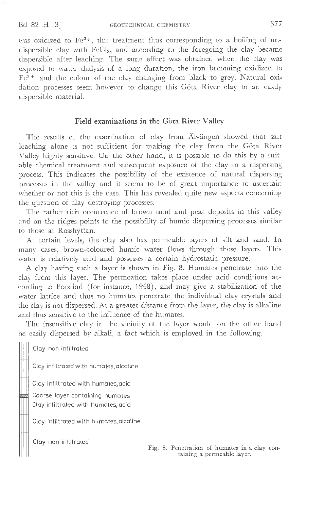was oxidized to Fe<sup>3+</sup>, this treatment thus corresponding to a boiling of undispersible clay with FeCl<sub>3</sub>, and according to the foregoing the clay became dispersible after leaching. The same effect was obtained when the clay was exposed to water dialysis of a long duration, the iron becoming oxidized to  $Fe<sup>3+</sup>$  and the colour of the clay changing from black to grey. Natural oxidation processes seem however to change this Göta River clay to an easily dispersible material.

### Field examinations in the Göta River Valley

The results of the examination of clay from Alvängen showed that salt leaching alone *is* not sufficient for making the clay from the Gota River Valley highly sensitive. On the other hand, it is possible to do this by a suitable chemical treatment and subsequent exposure of the clay to a dispersing process. This indicates the possibility of the existence of natural dispersing processes in the valley and it seems to be of great importance to ascertain whether or not this is the case. This has revealed quite new aspects concerning the question of clay destroying processes.

The rather rich occurrence of brown mud and peat deposits in this valley and on the ridges points to the possibility of humic dispersing processes similar to those at Rosshyttan.

At certain levels, the clay also has permeable layers of silt and sand. In many cases, brown-coloured humic water flows through these layers. This water is relatively acid and possesses a certain hydrostatic pressure.

A clay having such a layer is shown in Fig. 8. Humates penetrate into the clay from this layer. The permeation takes place under acid conditions according to Forslind (for instance, 1948), and may give a stabilization of the water lattice and thus no humates penetrate the individual clay crystals and the clay is not dispersed. At a greater distance from the layer, the clay is alkaline and thus sensitive to the influence of the humates.

The insensitive clay in the vicinity of the layer would on the other hand be easily dispersed by alkali, a fact which is employed in the following.

Clay non infiltrated

Clay infiltrated with humates, alcaline

Clay infiltrated with humates,acid

Coarse layer containing humates Clay infiltrated with humates, acid

Clay infiltrated with humates,alcaline

Clay non infiltrated

Fig. 8. Penetration of humates in a clay containing a permeable layer.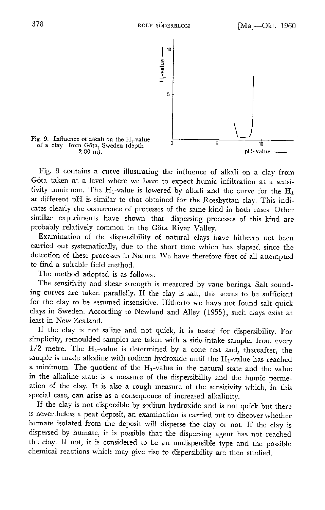

Fig. 9 contains a curve illustrating the influence of alkali on a clay from Göta taken at a level where we have to expect humic infiltration at a sensitivity minimum. The  $H_1$ -value is lowered by alkali and the curve for the  $H_1$ at different pH is similar to that obtained for the Rosshyttan clay. This indicates clearly the occurrence of processes of the same kind in both cases. Other similar experiments have shown that dispersing processes of this kind are probably relatively common in the Göta River Valley.

Examination of the dispersibility of natural clays have hitherto not been carried out systematically, due to the short time which has elapsed since the detection of these processes in Nature. \i\*1e* have therefore first of all attempted to find a suitable field method.

The method adopted is as follows:

The sensitivity and shear strength is measured by vane borings. Salt sounding curves are taken para11elly. If the clay is salt, this seems to be sufficient for the clay to be assumed insensitive. Hitherto we have not found salt quick clays in Sweden. According to Newland and Alley ( 1955), such clays exist at least in New Zealand.

If the clay is not saline and not quick, it is tested for dispersibility. For simplicity, remoulded samples are taken with a side-intake sampler from every  $1/2$  metre. The  $H_1$ -value is determined by a cone test and, thereafter, the sample is made alkaline with sodium hydroxide until the  $H_1$ -value has reached a minimum. The quotient of the  $H_1$ -value in the natural state and the value in the alkaline state is a measure of the dispersibility and the humic permeation of the clay. It is also a rough measure of the sensitivity which, in this special case, can arise as a consequence of increased alkalinity.

If the clay is not dispersible by sodium hydroxide and is not quick but there is nevertheless a peat deposit, an examination is carried out to discover whether humate isolated from the deposit will disperse the clay or not. If the ciay is dispersed by humate, it is possible that the dispersing agent has not reached the clay. If not, it is considered to be an undispersible type and the possible chemical reactions which may give rise to dispersibility are then studied.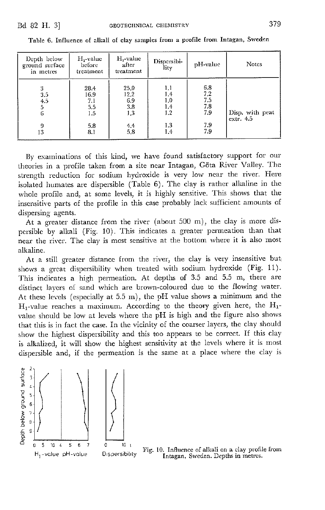| Depth below<br>ground surface<br>in metres | $H_1$ -value<br>before<br>treatment                                            | H <sub>1</sub> -value<br>after<br>treatment     | Dispersibi-<br>lity                           | pH value                                              | Notes                        |
|--------------------------------------------|--------------------------------------------------------------------------------|-------------------------------------------------|-----------------------------------------------|-------------------------------------------------------|------------------------------|
| 3<br>3.5<br>4.5<br>6<br>9<br>13            | 28.4<br>16.9<br>$\begin{array}{c} 7.1 \\ 5.5 \end{array}$<br>1.5<br>5.8<br>8.1 | 25.0<br>12.2<br>6.9<br>3.8<br>1,3<br>4.4<br>5.8 | IJ,<br>1.4<br>1.0<br>1.4<br>1.2<br>1.3<br>1.4 | $6.8$<br>$7.2$<br>$7.5$<br>$7.8$<br>7.9<br>7.9<br>7.9 | Disp. with peat<br>extr. 4.5 |

Table 6. Influence of alkali of clay samples from a profile from Intagan, Sweden

By examinations of this kind, we have found satisfactory support for our theories in a profile taken from a site near Intagan, G6ta River Valley. The strength reduction for sodium hydroxide is very low near the river. Here isolated humates are dispersible (Table 6). The clay is rather alkaline in the whole profile and, at some levels, it is highly sensitive. This shows that the insensitive parts of the profile in this case probably lack sufficient amounts of dispersing agents.

At a greater distance from the river (about 500 m), the clay is more dispersible by alkali (Fig. 10). This indicates a greater permeation than that near the river. The clay is most sensitive at the bottom where it is also most alkaline.

At a still greater distance from the river, the clay is very insensitive but shows a great dispersibility when treated with sodium hydroxide (Fig. 11). This indicates a high permeation. At depths of 3.5 and 5.5 m, there are distinct layers of sand which are brown-coloured due to the flowing water. At these levels (especially at  $5.5 \text{ m}$ ), the pH value shows a minimum and the  $H_1$ -value reaches a maximum. According to the theory given here, the  $H_1$ value should be low at levels where the pH is high and the figure also shows that this is in fact the case. In the vicinity of the coarser layers, the clay should show the highest dispersibility and this too appears to be correct. If this clay is alkalized, it will show the highest sensitivity at the levels where it is most dispersible and, if the permeation is the same at a place where the clay is

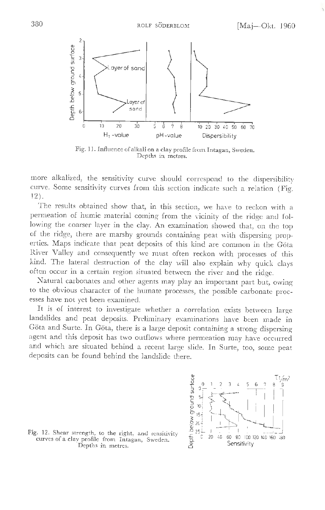

Fig. 11. Influence of alkali on a clay profile from Intagan, Sweden. Depths in metres.

more alkalized, the sensitivity curve should correspond to the dispersibility curve. Some sensitivity curves from this section indicate such a relation (Fig. 12).

The results obtained show that, in this section, we have to reckon with a permeation of humic material coming from the vicinity of the ridge and following the coarser layer in the clay. An examination showed that, on the top of the ridge, there are marshy grounds containing peat with dispersing properties. Maps indicate that peat deposits of this kind are common in the Gota River Valley and consequently we must often reckon with processes of this kind. The lateral destruction of the clay will also explain why quick clays often occur in a certain region situated between the river and the ridge.

Natural carbonates and other agents may play an important part but, owing to the obvious character of the humate processes, the possible carbonate processes have not yet been examined.

It is of interest to investigate whether a correlation exists between large landslides and peat deposits. Preliminary examinations have been made in Göta and Surte. In Göta, there is a large deposit containing a strong dispersing agent and this deposit has two outflows where permeation may have occurred and which are situated behind a recent large slide. In Surte, too, some peat deposits can be found behind the landslide there.



Fig. 12. Shear strength, to the right, and sensitivity  $\frac{125-1}{5}$  curves of a clay profile from Intagan, Sweden.  $\frac{25-1}{5}$  20 40 60 80 00 100 Depths in metres.